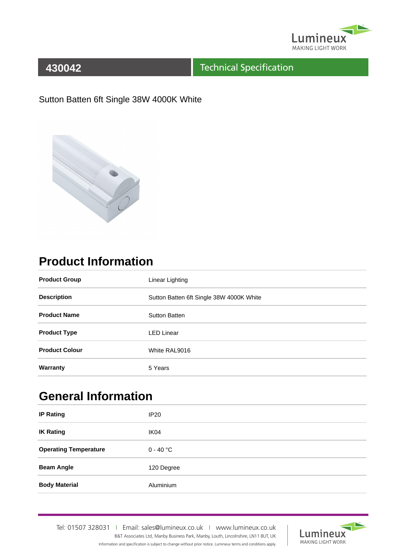

#### Technical Specification

Sutton Batten 6ft Single 38W 4000K White



# **Product Information**

| <b>Product Group</b>  | Linear Lighting                          |
|-----------------------|------------------------------------------|
| <b>Description</b>    | Sutton Batten 6ft Single 38W 4000K White |
| <b>Product Name</b>   | <b>Sutton Batten</b>                     |
| <b>Product Type</b>   | <b>LED Linear</b>                        |
| <b>Product Colour</b> | White RAL9016                            |
| Warranty              | 5 Years                                  |

# **General Information**

| <b>IP Rating</b>             | IP20             |
|------------------------------|------------------|
| <b>IK Rating</b>             | IK <sub>04</sub> |
| <b>Operating Temperature</b> | $0 - 40$ °C      |
| <b>Beam Angle</b>            | 120 Degree       |
| <b>Body Material</b>         | <b>Aluminium</b> |

Tel: 01507 328031IEmail: sales@lumineux.co.ukIwww.lumineux.co.uk B&T Associates Ltd, Manby Business Park, Manby, Louth, Lincolnshire, LN11 8UT, UK Information and specification is subject to change without prior notice. Lumineux terms and conditions apply.

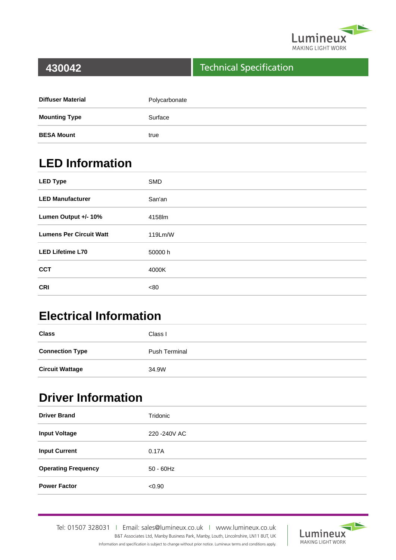

#### Technical Specification

| <b>Diffuser Material</b> | Polycarbonate |
|--------------------------|---------------|
| <b>Mounting Type</b>     | Surface       |
| <b>BESA Mount</b>        | true          |

## **LED Information**

| <b>LED Type</b>                | <b>SMD</b> |
|--------------------------------|------------|
| <b>LED Manufacturer</b>        | San'an     |
| Lumen Output +/- 10%           | 4158lm     |
| <b>Lumens Per Circuit Watt</b> | 119Lm/W    |
| <b>LED Lifetime L70</b>        | 50000 h    |
| <b>CCT</b>                     | 4000K      |
| <b>CRI</b>                     | <80        |

## **Electrical Information**

| <b>Class</b>           | Class I              |
|------------------------|----------------------|
| <b>Connection Type</b> | <b>Push Terminal</b> |
| <b>Circuit Wattage</b> | 34.9W                |

### **Driver Information**

| <b>Driver Brand</b>        | Tridonic      |
|----------------------------|---------------|
| <b>Input Voltage</b>       | 220 - 240 VAC |
| <b>Input Current</b>       | 0.17A         |
| <b>Operating Frequency</b> | $50 - 60$ Hz  |
| <b>Power Factor</b>        | < 0.90        |

Tel: 01507 328031IEmail: sales@lumineux.co.ukIwww.lumineux.co.uk B&T Associates Ltd, Manby Business Park, Manby, Louth, Lincolnshire, LN11 8UT, UK Information and specification is subject to change without prior notice. Lumineux terms and conditions apply.

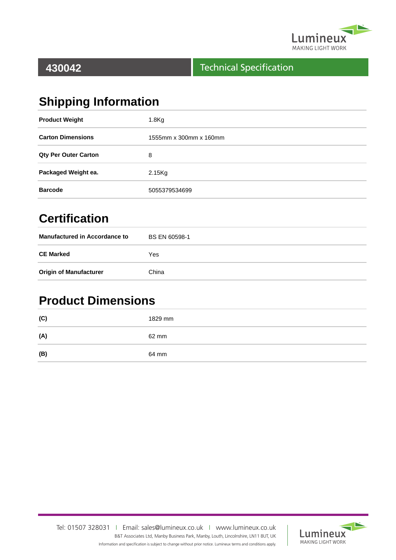

#### Technical Specification

# **Shipping Information**

| <b>Product Weight</b>       | 1.8 <sub>g</sub>       |
|-----------------------------|------------------------|
| <b>Carton Dimensions</b>    | 1555mm x 300mm x 160mm |
| <b>Qty Per Outer Carton</b> | 8                      |
| Packaged Weight ea.         | $2.15$ Kg              |
| <b>Barcode</b>              | 5055379534699          |

## **Certification**

| <b>Manufactured in Accordance to</b> | <b>BS EN 60598-1</b> |
|--------------------------------------|----------------------|
| <b>CE Marked</b>                     | Yes                  |
| <b>Origin of Manufacturer</b>        | China                |

### **Product Dimensions**

| (C) | 1829 mm |
|-----|---------|
| (A) | 62 mm   |
| (B) | 64 mm   |